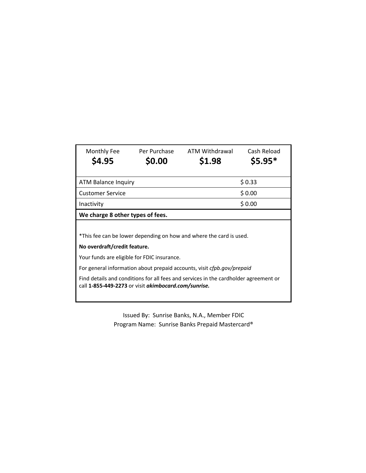| Monthly Fee                                                                                                                                  | Per Purchase | ATM Withdrawal | Cash Reload |  |
|----------------------------------------------------------------------------------------------------------------------------------------------|--------------|----------------|-------------|--|
| \$4.95                                                                                                                                       | \$0.00       | \$1.98         | $$5.95*$    |  |
|                                                                                                                                              |              |                |             |  |
| ATM Balance Inquiry                                                                                                                          |              | \$0.33         |             |  |
| <b>Customer Service</b>                                                                                                                      |              | \$0.00         |             |  |
| \$0.00<br>Inactivity                                                                                                                         |              |                |             |  |
| We charge 8 other types of fees.                                                                                                             |              |                |             |  |
|                                                                                                                                              |              |                |             |  |
| *This fee can be lower depending on how and where the card is used.                                                                          |              |                |             |  |
| No overdraft/credit feature.                                                                                                                 |              |                |             |  |
| Your funds are eligible for FDIC insurance.                                                                                                  |              |                |             |  |
| For general information about prepaid accounts, visit <i>cfpb.gov/prepaid</i>                                                                |              |                |             |  |
| Find details and conditions for all fees and services in the cardholder agreement or<br>call 1-855-449-2273 or visit akimbocard.com/sunrise. |              |                |             |  |
|                                                                                                                                              |              |                |             |  |

Issued By: Sunrise Banks, N.A., Member FDIC Program Name: Sunrise Banks Prepaid Mastercard®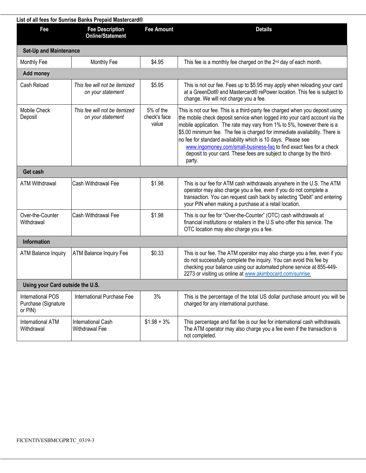|                                                            | List of all fees for Sunrise Banks Prepaid Mastercard® |                                    |                                                                                                                                                                                                                                                                                                                                                                                                                                                                                                                                                  |
|------------------------------------------------------------|--------------------------------------------------------|------------------------------------|--------------------------------------------------------------------------------------------------------------------------------------------------------------------------------------------------------------------------------------------------------------------------------------------------------------------------------------------------------------------------------------------------------------------------------------------------------------------------------------------------------------------------------------------------|
| Fee                                                        | <b>Fee Description</b><br><b>Online/Statement</b>      | <b>Fee Amount</b>                  | <b>Details</b>                                                                                                                                                                                                                                                                                                                                                                                                                                                                                                                                   |
| <b>Set-Up and Maintenance</b>                              |                                                        |                                    |                                                                                                                                                                                                                                                                                                                                                                                                                                                                                                                                                  |
| Monthly Fee                                                | Monthly Fee                                            | \$4.95                             | This fee is a monthly fee charged on the 2 <sup>nd</sup> day of each month.                                                                                                                                                                                                                                                                                                                                                                                                                                                                      |
| <b>Add money</b>                                           |                                                        |                                    |                                                                                                                                                                                                                                                                                                                                                                                                                                                                                                                                                  |
| Cash Reload                                                | This fee will not be itemized<br>on your statement     | \$5.95                             | This is not our fee. Fees up to \$5.95 may apply when reloading your card<br>at a GreenDot® and Mastercard® rePower location. This fee is subject to<br>change. We will not charge you a fee.                                                                                                                                                                                                                                                                                                                                                    |
| Mobile Check<br>Deposit                                    | This fee will not be itemized<br>on your statement     | 5% of the<br>check's face<br>value | This is not our fee. This is a third-party fee charged when you deposit using<br>the mobile check deposit service when logged into your card account via the<br>mobile application. The rate may vary from 1% to 5%, however there is a<br>\$5.00 minimum fee. The fee is charged for immediate availability. There is<br>no fee for standard availability which is 10 days. Please see<br>www.ingomoney.com/small-business-faq to find exact fees for a check<br>deposit to your card. These fees are subject to change by the third-<br>party. |
| Get cash                                                   |                                                        |                                    |                                                                                                                                                                                                                                                                                                                                                                                                                                                                                                                                                  |
| <b>ATM Withdrawal</b>                                      | Cash Withdrawal Fee                                    | \$1.98                             | This is our fee for ATM cash withdrawals anywhere in the U.S. The ATM<br>operator may also charge you a fee, even if you do not complete a<br>transaction. You can request cash back by selecting "Debit" and entering<br>your PIN when making a purchase at a retail location.                                                                                                                                                                                                                                                                  |
| Over-the-Counter<br>Withdrawal                             | Cash Withdrawal Fee                                    | \$1.98                             | This is our fee for "Over-the-Counter" (OTC) cash withdrawals at<br>financial institutions or retailers in the U.S who offer this service. The<br>OTC location may also charge you a fee.                                                                                                                                                                                                                                                                                                                                                        |
| <b>Information</b>                                         |                                                        |                                    |                                                                                                                                                                                                                                                                                                                                                                                                                                                                                                                                                  |
| <b>ATM Balance Inquiry</b>                                 | ATM Balance Inquiry Fee                                | \$0.33                             | This is our fee. The ATM operator may also charge you a fee, even if you<br>do not successfully complete the inquiry. You can avoid this fee by<br>checking your balance using our automated phone service at 855-449-<br>2273 or visiting us online at www.akimbocard.com/sunrise.                                                                                                                                                                                                                                                              |
| Using your Card outside the U.S.                           |                                                        |                                    |                                                                                                                                                                                                                                                                                                                                                                                                                                                                                                                                                  |
| <b>International POS</b><br>Purchase (Signature<br>or PIN) | International Purchase Fee                             | 3%                                 | This is the percentage of the total US dollar purchase amount you will be<br>charged for any international purchase.                                                                                                                                                                                                                                                                                                                                                                                                                             |
| <b>International ATM</b><br>Withdrawal                     | International Cash<br>Withdrawal Fee                   | $$1.98 + 3\%$                      | This percentage and flat fee is our fee for international cash withdrawals.<br>The ATM operator may also charge you a fee even if the transaction is<br>not completed.                                                                                                                                                                                                                                                                                                                                                                           |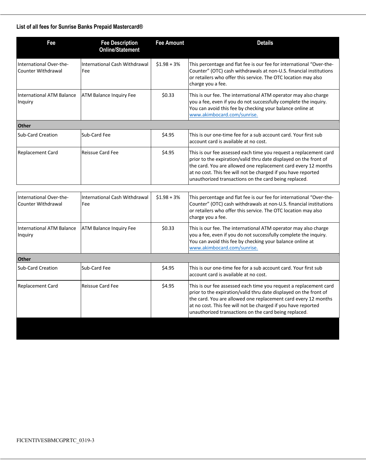## **List of all fees for Sunrise Banks Prepaid Mastercard®**

| International Cash Withdrawal<br>Fee | $$1.98 + 3\%$ |                                                                                                                                                                                                                                                                                                                                    |
|--------------------------------------|---------------|------------------------------------------------------------------------------------------------------------------------------------------------------------------------------------------------------------------------------------------------------------------------------------------------------------------------------------|
|                                      |               | This percentage and flat fee is our fee for international "Over-the-<br>Counter" (OTC) cash withdrawals at non-U.S. financial institutions<br>or retailers who offer this service. The OTC location may also<br>charge you a fee.                                                                                                  |
| <b>ATM Balance Inquiry Fee</b>       | \$0.33        | This is our fee. The international ATM operator may also charge<br>you a fee, even if you do not successfully complete the inquiry.<br>You can avoid this fee by checking your balance online at<br>www.akimbocard.com/sunrise.                                                                                                    |
|                                      |               |                                                                                                                                                                                                                                                                                                                                    |
| Sub-Card Fee                         | \$4.95        | This is our one-time fee for a sub account card. Your first sub<br>account card is available at no cost.                                                                                                                                                                                                                           |
| <b>Reissue Card Fee</b>              | \$4.95        | This is our fee assessed each time you request a replacement card<br>prior to the expiration/valid thru date displayed on the front of<br>the card. You are allowed one replacement card every 12 months<br>at no cost. This fee will not be charged if you have reported<br>unauthorized transactions on the card being replaced. |
|                                      |               |                                                                                                                                                                                                                                                                                                                                    |
| International Cash Withdrawal<br>Fee | $$1.98 + 3\%$ | This percentage and flat fee is our fee for international "Over-the-<br>Counter" (OTC) cash withdrawals at non-U.S. financial institutions<br>or retailers who offer this service. The OTC location may also<br>charge you a fee.                                                                                                  |
| <b>ATM Balance Inquiry Fee</b>       | \$0.33        | This is our fee. The international ATM operator may also charge<br>you a fee, even if you do not successfully complete the inquiry.<br>You can avoid this fee by checking your balance online at<br>www.akimbocard.com/sunrise.                                                                                                    |
|                                      |               |                                                                                                                                                                                                                                                                                                                                    |
| Sub-Card Fee                         | \$4.95        | This is our one-time fee for a sub account card. Your first sub<br>account card is available at no cost.                                                                                                                                                                                                                           |
| <b>Reissue Card Fee</b>              | \$4.95        | This is our fee assessed each time you request a replacement card<br>prior to the expiration/valid thru date displayed on the front of<br>the card. You are allowed one replacement card every 12 months<br>at no cost. This fee will not be charged if you have reported<br>unauthorized transactions on the card being replaced. |
|                                      |               |                                                                                                                                                                                                                                                                                                                                    |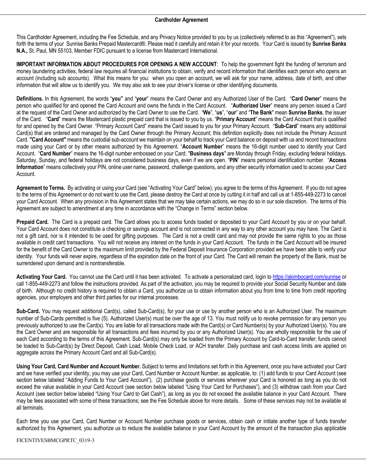## **Cardholder Agreement**

This Cardholder Agreement, including the Fee Schedule, and any Privacy Notice provided to you by us (collectively referred to as this "Agreement"), sets forth the terms of your Sunrise Banks Prepaid Mastercard®. Please read it carefully and retain it for your records. Your Card is issued by **Sunrise Banks N.A.,** St. Paul, MN 55103, Member FDIC pursuant to a license from Mastercard International.

**IMPORTANT INFORMATION ABOUT PROCEDURES FOR OPENING A NEW ACCOUNT**: To help the government fight the funding of terrorism and money laundering activities, federal law requires all financial institutions to obtain, verify and record information that identifies each person who opens an account (including sub accounts). What this means for you: when you open an account, we will ask for your name, address, date of birth, and other information that will allow us to identify you. We may also ask to see your driver's license or other identifying documents.

**Definitions.** In this Agreement, the words "**you"** and "**your**" means the Card Owner and any Authorized User of the Card. "**Card Owner**" means the person who qualified for and opened the Card Account and owns the funds in the Card Account. "**Authorized User**" means any person issued a Card at the request of the Card Owner and authorized by the Card Owner to use the Card. "**We**", "**us**", "**our**" and "**The Bank**" mean **Sunrise Banks**, the issuer of the Card. "**Card**" means the Mastercard plastic prepaid card that is issued to you by us. "**Primary Account**" means the Card Account that is qualified for and opened by the Card Owner. "Primary Account Card" means the Card issued to you for your Primary Account. "**Sub-Card**" means any additional Card(s) that are ordered and managed by the Card Owner through the Primary Account; this definition explicitly does not include the Primary Account Card.**"Card Account"** means the custodial sub-account we maintain on your behalf to track your Card balance on deposit with us and record transactions made using your Card or by other means authorized by this Agreement. "**Account Number**" means the 16-digit number used to identify your Card Account. "**Card Number**" means the 16-digit number embossed on your Card. "**Business days**" are Monday through Friday, excluding federal holidays. Saturday, Sunday, and federal holidays are not considered business days, even if we are open. "**PIN**" means personal identification number. "**Access Information**" means collectively your PIN, online user name, password, challenge questions, and any other security information used to access your Card Account.

**Agreement to Terms.** By activating or using your Card (see "Activating Your Card" below), you agree to the terms of this Agreement. If you do not agree to the terms of this Agreement or do not want to use the Card, please destroy the Card at once by cutting it in half and call us at 1-855-449-2273 to cancel your Card Account. When any provision in this Agreement states that we may take certain actions, we may do so in our sole discretion. The terms of this Agreement are subject to amendment at any time in accordance with the "Change in Terms" section below.

**Prepaid Card.** The Card is a prepaid card. The Card allows you to access funds loaded or deposited to your Card Account by you or on your behalf. Your Card Account does not constitute a checking or savings account and is not connected in any way to any other account you may have. The Card is not a gift card, nor is it intended to be used for gifting purposes. The Card is not a credit card and may not provide the same rights to you as those available in credit card transactions. You will not receive any interest on the funds in your Card Account. The funds in the Card Account will be insured for the benefit of the Card Owner to the maximum limit provided by the Federal Deposit Insurance Corporation provided we have been able to verify your identity. Your funds will never expire, regardless of the expiration date on the front of your Card. The Card will remain the property of the Bank, must be surrendered upon demand and is nontransferable.

**Activating Your Card.** You cannot use the Card until it has been activated. To activate a personalized card, login to https://akimbocard.com/sunrise or call 1-855-449-2273 and follow the instructions provided. As part of the activation, you may be required to provide your Social Security Number and date of birth. Although no credit history is required to obtain a Card, you authorize us to obtain information about you from time to time from credit reporting agencies, your employers and other third parties for our internal processes.

**Sub-Card.** You may request additional Card(s), called Sub-Card(s), for your use or use by another person who is an Authorized User. The maximum number of Sub-Cards permitted is five (5). Authorized User(s) must be over the age of 13. You must notify us to revoke permission for any person you previously authorized to use the Card(s). You are liable for all transactions made with the Card(s) or Card Number(s) by your Authorized User(s). You are the Card Owner and are responsible for all transactions and fees incurred by you or any Authorized User(s). You are wholly responsible for the use of each Card according to the terms of this Agreement. Sub-Card(s) may only be loaded from the Primary Account by Card-to-Card transfer; funds cannot be loaded to Sub-Card(s) by Direct Deposit, Cash Load, Mobile Check Load, or ACH transfer. Daily purchase and cash access limits are applied on aggregate across the Primary Account Card and all Sub-Card(s).

**Using Your Card, Card Number and Account Number.** Subject to terms and limitations set forth in this Agreement, once you have activated your Card and we have verified your identity, you may use your Card, Card Number or Account Number, as applicable, to: (1) add funds to your Card Account (see section below labeled "Adding Funds to Your Card Account"), (2) purchase goods or services wherever your Card is honored as long as you do not exceed the value available in your Card Account (see section below labeled "Using Your Card for Purchases"), and (3) withdraw cash from your Card Account (see section below labeled "Using Your Card to Get Cash"), as long as you do not exceed the available balance in your Card Account. There may be fees associated with some of these transactions; see the Fee Schedule above for more details. Some of these services may not be available at all terminals.

Each time you use your Card, Card Number or Account Number purchase goods or services, obtain cash or initiate another type of funds transfer authorized by this Agreement, you authorize us to reduce the available balance in your Card Account by the amount of the transaction plus applicable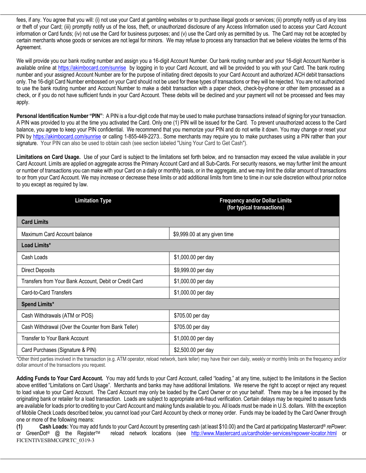fees, if any. You agree that you will: (i) not use your Card at gambling websites or to purchase illegal goods or services; (ii) promptly notify us of any loss or theft of your Card; (iii) promptly notify us of the loss, theft, or unauthorized disclosure of any Access Information used to access your Card Account information or Card funds; (iv) not use the Card for business purposes; and (v) use the Card only as permitted by us. The Card may not be accepted by certain merchants whose goods or services are not legal for minors.We may refuse to process any transaction that we believe violates the terms of this Agreement.

We will provide you our bank routing number and assign you a 16-digit Account Number. Our bank routing number and your 16-digit Account Number is available online at https://akimbocard.com/sunrise by logging in to your Card Account, and will be provided to you with your Card. The bank routing number and your assigned Account Number are for the purpose of initiating direct deposits to your Card Account and authorized ACH debit transactions only. The 16-digit Card Number embossed on your Card should not be used for these types of transactions or they will be rejected. You are not authorized to use the bank routing number and Account Number to make a debit transaction with a paper check, check-by-phone or other item processed as a check, or if you do not have sufficient funds in your Card Account. These debits will be declined and your payment will not be processed and fees may apply.

**Personal Identification Number "PIN"**: A PIN is a four-digit code that may be used to make purchase transactions instead of signing for your transaction. A PIN was provided to you at the time you activated the Card. Only one (1) PIN will be issued for the Card. To prevent unauthorized access to the Card balance, you agree to keep your PIN confidential. We recommend that you memorize your PIN and do not write it down. You may change or reset your PIN by https://akimbocard.com/sunrise or calling 1-855-449-2273. Some merchants may require you to make purchases using a PIN rather than your signature. Your PIN can also be used to obtain cash (see section labeled "Using Your Card to Get Cash").

**Limitations on Card Usage.** Use of your Card is subject to the limitations set forth below, and no transaction may exceed the value available in your Card Account. Limits are applied on aggregate across the Primary Account Card and all Sub-Cards. For security reasons, we may further limit the amount or number of transactions you can make with your Card on a daily or monthly basis, or in the aggregate, and we may limit the dollar amount of transactions to or from your Card Account. We may increase or decrease these limits or add additional limits from time to time in our sole discretion without prior notice to you except as required by law.

| <b>Limitation Type</b>                                 | <b>Frequency and/or Dollar Limits</b><br>(for typical transactions) |  |
|--------------------------------------------------------|---------------------------------------------------------------------|--|
| <b>Card Limits</b>                                     |                                                                     |  |
| Maximum Card Account balance                           | \$9,999.00 at any given time                                        |  |
| Load Limits*                                           |                                                                     |  |
| Cash Loads                                             | \$1,000.00 per day                                                  |  |
| <b>Direct Deposits</b>                                 | \$9,999.00 per day                                                  |  |
| Transfers from Your Bank Account, Debit or Credit Card | \$1,000.00 per day                                                  |  |
| Card-to-Card Transfers                                 | \$1,000.00 per day                                                  |  |
| Spend Limits*                                          |                                                                     |  |
| Cash Withdrawals (ATM or POS)                          | \$705.00 per day                                                    |  |
| Cash Withdrawal (Over the Counter from Bank Teller)    | \$705.00 per day                                                    |  |
| <b>Transfer to Your Bank Account</b>                   | \$1,000.00 per day                                                  |  |
| Card Purchases (Signature & PIN)                       | \$2,500.00 per day                                                  |  |

\*Other third parties involved in the transaction (e.g. ATM operator, reload network, bank teller) may have their own daily, weekly or monthly limits on the frequency and/or dollar amount of the transactions you request.

**Adding Funds to Your Card Account.** You may add funds to your Card Account, called "loading," at any time, subject to the limitations in the Section above entitled "Limitations on Card Usage". Merchants and banks may have additional limitations. We reserve the right to accept or reject any request to load value to your Card Account. The Card Account may only be loaded by the Card Owner or on your behalf. There may be a fee imposed by the originating bank or retailer for a load transaction.Loads are subject to appropriate anti-fraud verification. Certain delays may be required to assure funds are available for loads prior to crediting to your Card Account and making funds available to you. All loads must be made in U.S. dollars. With the exception of Mobile Check Loads described below, you cannot load your Card Account by check or money order. Funds may be loaded by the Card Owner through one or more of the following means:

FICENTIVESBMCGPRTC\_0319-3 **(1) Cash Loads:** You may add funds to your Card Account by presenting cash (at least \$10.00) and the Card at participating Mastercard® *rePower*: or GreenDot® @ the RegisterTM reload network locations (see http://www.Mastercard.us/cardholder-services/repower-locator.html or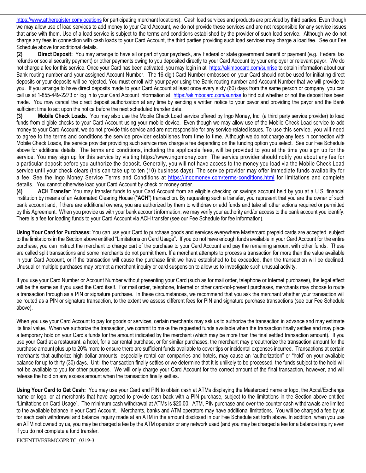https://www.attheregister.com/locations for participating merchant locations). Cash load services and products are provided by third parties. Even though we may allow use of load services to add money to your Card Account, we do not provide these services and are not responsible for any service issues that arise with them. Use of a load service is subject to the terms and conditions established by the provider of such load service. Although we do not charge any fees in connection with cash loads to your Card Account, the third parties providing such load services may charge a load fee. See our Fee Schedule above for additional details.

**(2) Direct Deposit:** You may arrange to have all or part of your paycheck, any Federal or state government benefit or payment (e.g., Federal tax refunds or social security payment) or other payments owing to you deposited directly to your Card Account by your employer or relevant payor. We do not charge a fee for this service. Once your Card has been activated, you may login in at https://akimbocard.com/sunrise to obtain information about our Bank routing number and your assigned Account Number. The 16-digit Card Number embossed on your Card should not be used for initiating direct deposits or your deposits will be rejected. You must enroll with your payor using the Bank routing number and Account Number that we will provide to you. If you arrange to have direct deposits made to your Card Account at least once every sixty (60) days from the same person or company, you can call us at 1-855-449-2273 or log in to your Card Account information at https://akimbocard.com/sunrise to find out whether or not the deposit has been made. You may cancel the direct deposit authorization at any time by sending a written notice to your payor and providing the payor and the Bank sufficient time to act upon the notice before the next scheduled transfer date.

**(3) Mobile Check Loads.** You may also use the Mobile Check Load service offered by Ingo Money, Inc. (a third party service provider) to load funds from eligible checks to your Card Account using your mobile device. Even though we may allow use of the Mobile Check Load service to add money to your Card Account, we do not provide this service and are not responsible for any service-related issues. To use this service, you will need to agree to the terms and conditions the service provider establishes from time to time. Although we do not charge any fees in connection with Mobile Check Loads, the service provider providing such service may charge a fee depending on the funding option you select. See our Fee Schedule above for additional details. The terms and conditions, including the applicable fees, will be provided to you at the time you sign up for the service. You may sign up for this service by visiting https://www.ingomoney.com The service provider should notify you about any fee for a particular deposit before you authorize the deposit. Generally, you will not have access to the money you load via the Mobile Check Load service until your check clears (this can take up to ten (10) business days). The service provider may offer immediate funds availability for a fee. See the Ingo Money Service Terms and Conditions at https://ingomoney.com/terms-conditions.html for limitations and complete details. You cannot otherwise load your Card Account by check or money order.

**(4) ACH Transfer**: You may transfer funds to your Card Account from an eligible checking or savings account held by you at a U.S. financial institution by means of an Automated Clearing House ("**ACH**") transaction. By requesting such a transfer, you represent that you are the owner of such bank account and, if there are additional owners, you are authorized by them to withdraw or add funds and take all other actions required or permitted by this Agreement. When you provide us with your bank account information, we may verify your authority and/or access to the bank account you identify. There is a fee for loading funds to your Card Account via ACH transfer (see our Fee Schedule for fee information).

**Using Your Card for Purchases:** You can use your Card to purchase goods and services everywhere Mastercard prepaid cards are accepted, subject to the limitations in the Section above entitled "Limitations on Card Usage". If you do not have enough funds available in your Card Account for the entire purchase, you can instruct the merchant to charge part of the purchase to your Card Account and pay the remaining amount with other funds. These are called split transactions and some merchants do not permit them. If a merchant attempts to process a transaction for more than the value available in your Card Account, or if the transaction will cause the purchase limit we have established to be exceeded, then the transaction will be declined. Unusual or multiple purchases may prompt a merchant inquiry or card suspension to allow us to investigate such unusual activity.

If you use your Card Number or Account Number without presenting your Card (such as for mail order, telephone or Internet purchases), the legal effect will be the same as if you used the Card itself. For mail order, telephone, Internet or other card-not-present purchases, merchants may choose to route a transaction through as a PIN or signature purchase. In these circumstances, we recommend that you ask the merchant whether your transaction will be routed as a PIN or signature transaction, to the extent we assess different fees for PIN and signature purchase transactions (see our Fee Schedule above).

When you use your Card Account to pay for goods or services, certain merchants may ask us to authorize the transaction in advance and may estimate its final value. When we authorize the transaction, we commit to make the requested funds available when the transaction finally settles and may place a temporary hold on your Card's funds for the amount indicated by the merchant (which may be more than the final settled transaction amount). If you use your Card at a restaurant, a hotel, for a car rental purchase, or for similar purchases, the merchant may preauthorize the transaction amount for the purchase amount plus up to 20% more to ensure there are sufficient funds available to cover tips or incidental expenses incurred. Transactions at certain merchants that authorize high dollar amounts, especially rental car companies and hotels, may cause an "authorization" or "hold" on your available balance for up to thirty (30) days. Until the transaction finally settles or we determine that it is unlikely to be processed, the funds subject to the hold will not be available to you for other purposes. We will only charge your Card Account for the correct amount of the final transaction, however, and will release the hold on any excess amount when the transaction finally settles.

**Using Your Card to Get Cash:** You may use your Card and PIN to obtain cash at ATMs displaying the Mastercard name or logo, the Accel/Exchange name or logo, or at merchants that have agreed to provide cash back with a PIN purchase, subject to the limitations in the Section above entitled "Limitations on Card Usage". The minimum cash withdrawal at ATMs is \$20.00. ATM, PIN purchase and over-the-counter cash withdrawals are limited to the available balance in your Card Account. Merchants, banks and ATM operators may have additional limitations. You will be charged a fee by us for each cash withdrawal and balance inquiry made at an ATM in the amount disclosed in our Fee Schedule set forth above. In addition, when you use an ATM not owned by us, you may be charged a fee by the ATM operator or any network used (and you may be charged a fee for a balance inquiry even if you do not complete a fund transfer.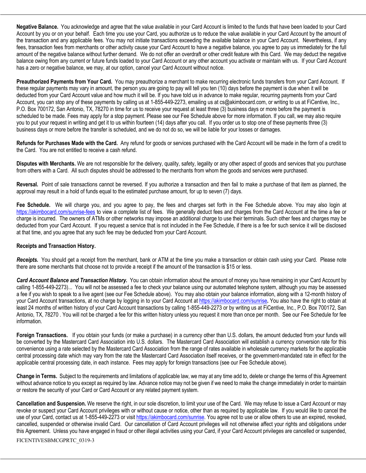**Negative Balance.** You acknowledge and agree that the value available in your Card Account is limited to the funds that have been loaded to your Card Account by you or on your behalf.Each time you use your Card, you authorize us to reduce the value available in your Card Account by the amount of the transaction and any applicable fees. You may not initiate transactions exceeding the available balance in your Card Account. Nevertheless, if any fees, transaction fees from merchants or other activity cause your Card Account to have a negative balance, you agree to pay us immediately for the full amount of the negative balance without further demand. We do not offer an overdraft or other credit feature with this Card. We may deduct the negative balance owing from any current or future funds loaded to your Card Account or any other account you activate or maintain with us. If your Card Account has a zero or negative balance, we may, at our option, cancel your Card Account without notice.

**Preauthorized Payments from Your Card.** You may preauthorize a merchant to make recurring electronic funds transfers from your Card Account. If these regular payments may vary in amount, the person you are going to pay will tell you ten (10) days before the payment is due when it will be deducted from your Card Account value and how much it will be. If you have told us in advance to make regular, recurring payments from your Card Account, you can stop any of these payments by calling us at 1-855-449-2273, emailing us at cs@akimbocard.com, or writing to us at FiCentive, Inc., P.O. Box 700172, San Antonio, TX, 78270 in time for us to receive your request at least three (3) business days or more before the payment is scheduled to be made. Fees may apply for a stop payment. Please see our Fee Schedule above for more information. If you call, we may also require you to put your request in writing and get it to us within fourteen (14) days after you call.If you order us to stop one of these payments three (3) business days or more before the transfer is scheduled, and we do not do so, we will be liable for your losses or damages.

**Refunds for Purchases Made with the Card.** Any refund for goods or services purchased with the Card Account will be made in the form of a credit to the Card. You are not entitled to receive a cash refund.

**Disputes with Merchants.** We are not responsible for the delivery, quality, safety, legality or any other aspect of goods and services that you purchase from others with a Card. All such disputes should be addressed to the merchants from whom the goods and services were purchased.

**Reversal.** Point of sale transactions cannot be reversed. If you authorize a transaction and then fail to make a purchase of that item as planned, the approval may result in a hold of funds equal to the estimated purchase amount, for up to seven (7) days.

**Fee Schedule.** We will charge you, and you agree to pay, the fees and charges set forth in the Fee Schedule above. You may also login at https://akimbocard.com/sunrise-fees to view a complete list of fees. We generally deduct fees and charges from the Card Account at the time a fee or charge is incurred. The owners of ATMs or other networks may impose an additional charge to use their terminals. Such other fees and charges may be deducted from your Card Account. If you request a service that is not included in the Fee Schedule, if there is a fee for such service it will be disclosed at that time, and you agree that any such fee may be deducted from your Card Account.

## **Receipts and Transaction History.**

*Receipts.* You should get a receipt from the merchant, bank or ATM at the time you make a transaction or obtain cash using your Card. Please note there are some merchants that choose not to provide a receipt if the amount of the transaction is \$15 or less.

*Card Account Balance and Transaction History.* You can obtain information about the amount of money you have remaining in your Card Account by calling 1-855-449-2273)... You will not be assessed a fee to check your balance using our automated telephone system, although you may be assessed a fee if you wish to speak to a live agent (see our Fee Schedule above). You may also obtain your balance information, along with a 12-month history of your Card Account transactions, at no charge by logging in to your Card Account at https://akimbocard.com/sunrise**.** You also have the right to obtain at least 24 months of written history of your Card Account transactions by calling 1-855-449-2273 or by writing us at FiCentive, Inc., P.O. Box 700172, San Antonio, TX, 78270 . You will not be charged a fee for this written history unless you request it more than once per month. See our Fee Schedule for fee information.

**Foreign Transactions.** If you obtain your funds (or make a purchase) in a currency other than U.S. dollars, the amount deducted from your funds will be converted by the Mastercard Card Association into U.S. dollars. The Mastercard Card Association will establish a currency conversion rate for this convenience using a rate selected by the Mastercard Card Association from the range of rates available in wholesale currency markets for the applicable central processing date which may vary from the rate the Mastercard Card Association itself receives, or the government-mandated rate in effect for the applicable central processing date, in each instance. Fees may apply for foreign transactions (see our Fee Schedule above).

**Change in Terms.** Subject to the requirements and limitations of applicable law, we may at any time add to, delete or change the terms of this Agreement without advance notice to you except as required by law. Advance notice may not be given if we need to make the change immediately in order to maintain or restore the security of your Card or Card Account or any related payment system.

**Cancellation and Suspension.** We reserve the right, in our sole discretion, to limit your use of the Card. We may refuse to issue a Card Account or may revoke or suspect your Card Account privileges with or without cause or notice, other than as required by applicable law. If you would like to cancel the use of your Card, contact us at 1-855-449-2273 or visit https://akimbocard.com/sunrise. You agree not to use or allow others to use an expired, revoked, cancelled, suspended or otherwise invalid Card. Our cancellation of Card Account privileges will not otherwise affect your rights and obligations under this Agreement. Unless you have engaged in fraud or other illegal activities using your Card, if your Card Account privileges are cancelled or suspended,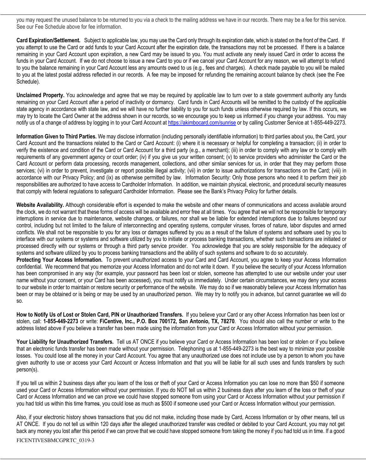you may request the unused balance to be returned to you via a check to the mailing address we have in our records. There may be a fee for this service. See our Fee Schedule above for fee information.

**Card Expiration/Settlement.** Subject to applicable law, you may use the Card only through its expiration date, which is stated on the front of the Card. If you attempt to use the Card or add funds to your Card Account after the expiration date, the transactions may not be processed. If there is a balance remaining in your Card Account upon expiration, a new Card may be issued to you. You must activate any newly issued Card in order to access the funds in your Card Account. If we do not choose to issue a new Card to you or if we cancel your Card Account for any reason, we will attempt to refund to you the balance remaining in your Card Account less any amounts owed to us (e.g., fees and charges). A check made payable to you will be mailed to you at the latest postal address reflected in our records. A fee may be imposed for refunding the remaining account balance by check (see the Fee Schedule).

**Unclaimed Property.** You acknowledge and agree that we may be required by applicable law to turn over to a state government authority any funds remaining on your Card Account after a period of inactivity or dormancy. Card funds in Card Accounts will be remitted to the custody of the applicable state agency in accordance with state law, and we will have no further liability to you for such funds unless otherwise required by law. If this occurs, we may try to locate the Card Owner at the address shown in our records, so we encourage you to keep us informed if you change your address. You may notify us of a change of address by logging in to your Card Account at https://akimbocard.com/sunrise or by calling Customer Service at 1-855-449-2273.

**Information Given to Third Parties.** We may disclose information (including personally identifiable information) to third parties about you, the Card, your Card Account and the transactions related to the Card or Card Account: (i) where it is necessary or helpful for completing a transaction; (ii) in order to verify the existence and condition of the Card or Card Account for a third party (e.g., a merchant); (iii) in order to comply with any law or to comply with requirements of any government agency or court order; (iv) if you give us your written consent; (v) to service providers who administer the Card or the Card Account or perform data processing, records management, collections, and other similar services for us, in order that they may perform those services; (vi) in order to prevent, investigate or report possible illegal activity; (vii) in order to issue authorizations for transactions on the Card; (viii) in accordance with our Privacy Policy; and (ix) as otherwise permitted by law. Information Security: Only those persons who need it to perform their job responsibilities are authorized to have access to Cardholder Information. In addition, we maintain physical, electronic, and procedural security measures that comply with federal regulations to safeguard Cardholder Information. Please see the Bank's Privacy Policy for further details.

**Website Availability.** Although considerable effort is expended to make the website and other means of communications and access available around the clock, we do not warrant that these forms of access will be available and error free at all times. You agree that we will not be responsible for temporary interruptions in service due to maintenance, website changes, or failures, nor shall we be liable for extended interruptions due to failures beyond our control, including but not limited to the failure of interconnecting and operating systems, computer viruses, forces of nature, labor disputes and armed conflicts. We shall not be responsible to you for any loss or damages suffered by you as a result of the failure of systems and software used by you to interface with our systems or systems and software utilized by you to initiate or process banking transactions, whether such transactions are initiated or processed directly with our systems or through a third party service provider. You acknowledge that you are solely responsible for the adequacy of systems and software utilized by you to process banking transactions and the ability of such systems and software to do so accurately.

**Protecting Your Access Information.** To prevent unauthorized access to your Card and Card Account, you agree to keep your Access Information confidential. We recommend that you memorize your Access Information and do not write it down. If you believe the security of your Access Information has been compromised in any way (for example, your password has been lost or stolen, someone has attempted to use our website under your user name without your consent, or your Card has been accessed), you must notify us immediately. Under certain circumstances, we may deny your access to our website in order to maintain or restore security or performance of the website. We may do so if we reasonably believe your Access Information has been or may be obtained or is being or may be used by an unauthorized person. We may try to notify you in advance, but cannot guarantee we will do so.

**How to Notify Us of Lost or Stolen Card, PIN or Unauthorized Transfers.** If you believe your Card or any other Access Information has been lost or stolen, call: **1-855-449-2273** or write: **FiCentive, Inc., P.O. Box 700172, San Antonio, TX, 78270**. You should also call the number or write to the address listed above if you believe a transfer has been made using the information from your Card or Access Information without your permission.

Your Liability for Unauthorized Transfers. Tell us AT ONCE if you believe your Card or Access Information has been lost or stolen or if you believe that an electronic funds transfer has been made without your permission. Telephoning us at 1-855-449-2273 is the best way to minimize your possible losses. You could lose all the money in your Card Account. You agree that any unauthorized use does not include use by a person to whom you have given authority to use or access your Card Account or Access Information and that you will be liable for all such uses and funds transfers by such person(s).

If you tell us within 2 business days after you learn of the loss or theft of your Card or Access Information you can lose no more than \$50 if someone used your Card or Access Information without your permission. If you do NOT tell us within 2 business days after you learn of the loss or theft of your Card or Access Information and we can prove we could have stopped someone from using your Card or Access Information without your permission if you had told us within this time frames, you could lose as much as \$500 if someone used your Card or Access Information without your permission.

Also, if your electronic history shows transactions that you did not make, including those made by Card, Access Information or by other means, tell us AT ONCE. If you do not tell us within 120 days after the alleged unauthorized transfer was credited or debited to your Card Account, you may not get back any money you lost after this period if we can prove that we could have stopped someone from taking the money if you had told us in time. If a good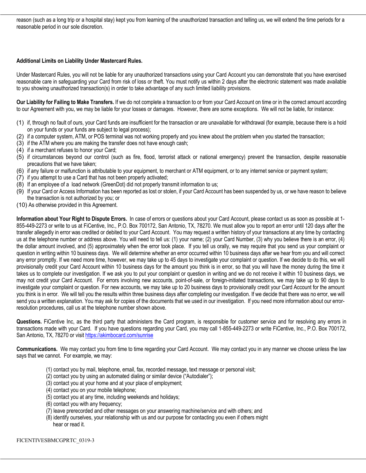reason (such as a long trip or a hospital stay) kept you from learning of the unauthorized transaction and telling us, we will extend the time periods for a reasonable period in our sole discretion.

## **Additional Limits on Liability Under Mastercard Rules.**

Under Mastercard Rules, you will not be liable for any unauthorized transactions using your Card Account you can demonstrate that you have exercised reasonable care in safeguarding your Card from risk of loss or theft. You must notify us within 2 days after the electronic statement was made available to you showing unauthorized transaction(s) in order to take advantage of any such limited liability provisions.

**Our Liability for Failing to Make Transfers.** If we do not complete a transaction to or from your Card Account on time or in the correct amount according to our Agreement with you, we may be liable for your losses or damages. However, there are some exceptions. We will not be liable, for instance:

- (1) if, through no fault of ours, your Card funds are insufficient for the transaction or are unavailable for withdrawal (for example, because there is a hold on your funds or your funds are subject to legal process);
- (2) if a computer system, ATM, or POS terminal was not working properly and you knew about the problem when you started the transaction;
- (3) if the ATM where you are making the transfer does not have enough cash;
- (4) if a merchant refuses to honor your Card;
- (5) if circumstances beyond our control (such as fire, flood, terrorist attack or national emergency) prevent the transaction, despite reasonable precautions that we have taken;
- (6) if any failure or malfunction is attributable to your equipment, to merchant or ATM equipment, or to any internet service or payment system;
- (7) if you attempt to use a Card that has not been properly activated;
- (8) If an employee of a load network (GreenDot) did not properly transmit information to us;
- (9) If your Card or Access Information has been reported as lost or stolen, if your Card Account has been suspended by us, or we have reason to believe the transaction is not authorized by you; or
- (10) As otherwise provided in this Agreement.

**Information about Your Right to Dispute Errors.** In case of errors or questions about your Card Account, please contact us as soon as possible at 1- 855-449-2273 or write to us at FiCentive, Inc., P.O. Box 700172, San Antonio, TX, 78270. We must allow you to report an error until 120 days after the transfer allegedly in error was credited or debited to your Card Account. You may request a written history of your transactions at any time by contacting us at the telephone number or address above. You will need to tell us: (1) your name; (2) your Card Number, (3) why you believe there is an error, (4) the dollar amount involved, and (5) approximately when the error took place. If you tell us orally, we may require that you send us your complaint or question in writing within 10 business days. We will determine whether an error occurred within 10 business days after we hear from you and will correct any error promptly. If we need more time, however, we may take up to 45 days to investigate your complaint or question. If we decide to do this, we will provisionally credit your Card Account within 10 business days for the amount you think is in error, so that you will have the money during the time it takes us to complete our investigation. If we ask you to put your complaint or question in writing and we do not receive it within 10 business days, we may not credit your Card Account. For errors involving new accounts, point-of-sale, or foreign-initiated transactions, we may take up to 90 days to investigate your complaint or question. For new accounts, we may take up to 20 business days to provisionally credit your Card Account for the amount you think is in error. We will tell you the results within three business days after completing our investigation. If we decide that there was no error, we will send you a written explanation. You may ask for copies of the documents that we used in our investigation. If you need more information about our errorresolution procedures, call us at the telephone number shown above.

**Questions.** FiCentive Inc, as the third party that administers the Card program, is responsible for customer service and for resolving any errors in transactions made with your Card. If you have questions regarding your Card, you may call 1-855-449-2273 or write FiCentive, Inc., P.O. Box 700172, San Antonio, TX, 78270 or visit https://akimbocard.com/sunrise

**Communications.** We may contact you from time to time regarding your Card Account. We may contact you in any manner we choose unless the law says that we cannot. For example, we may:

- (1) contact you by mail, telephone, email, fax, recorded message, text message or personal visit;
- (2) contact you by using an automated dialing or similar device ("Autodialer");
- (3) contact you at your home and at your place of employment;
- (4) contact you on your mobile telephone;
- (5) contact you at any time, including weekends and holidays;
- (6) contact you with any frequency;
- (7) leave prerecorded and other messages on your answering machine/service and with others; and
- (8) identify ourselves, your relationship with us and our purpose for contacting you even if others might hear or read it.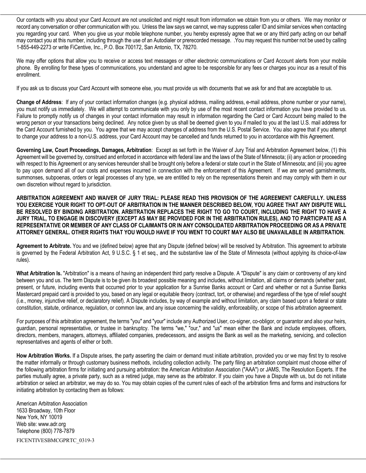Our contacts with you about your Card Account are not unsolicited and might result from information we obtain from you or others. We may monitor or record any conversation or other communication with you. Unless the law says we cannot, we may suppress caller ID and similar services when contacting you regarding your card. When you give us your mobile telephone number, you hereby expressly agree that we or any third party acting on our behalf may contact you at this number, including through the use of an Autodialer or prerecorded message. .You may request this number not be used by calling 1-855-449-2273 or write FiCentive, Inc., P.O. Box 700172, San Antonio, TX, 78270.

We may offer options that allow you to receive or access text messages or other electronic communications or Card Account alerts from your mobile phone. By enrolling for these types of communications, you understand and agree to be responsible for any fees or charges you incur as a result of this enrollment.

If you ask us to discuss your Card Account with someone else, you must provide us with documents that we ask for and that are acceptable to us.

**Change of Address**: If any of your contact information changes (e.g. physical address, mailing address, e-mail address, phone number or your name), you must notify us immediately. We will attempt to communicate with you only by use of the most recent contact information you have provided to us. Failure to promptly notify us of changes in your contact information may result in information regarding the Card or Card Account being mailed to the wrong person or your transactions being declined. Any notice given by us shall be deemed given to you if mailed to you at the last U.S. mail address for the Card Account furnished by you. You agree that we may accept changes of address from the U.S. Postal Service. You also agree that if you attempt to change your address to a non-U.S. address, your Card Account may be cancelled and funds returned to you in accordance with this Agreement.

**Governing Law, Court Proceedings, Damages, Arbitration**: Except as set forth in the Waiver of Jury Trial and Arbitration Agreement below, (1) this Agreement will be governed by, construed and enforced in accordance with federal law and the laws of the State of Minnesota; (ii) any action or proceeding with respect to this Agreement or any services hereunder shall be brought only before a federal or state court in the State of Minnesota; and (iii) you agree to pay upon demand all of our costs and expenses incurred in connection with the enforcement of this Agreement. If we are served garnishments, summonses, subpoenas, orders or legal processes of any type, we are entitled to rely on the representations therein and may comply with them in our own discretion without regard to jurisdiction.

**ARBITRATION AGREEMENT AND WAIVER OF JURY TRIAL: PLEASE READ THIS PROVISION OF THE AGREEMENT CAREFULLY. UNLESS YOU EXERCISE YOUR RIGHT TO OPT-OUT OF ARBITRATION IN THE MANNER DESCRIBED BELOW, YOU AGREE THAT ANY DISPUTE WILL BE RESOLVED BY BINDING ARBITRATION. ARBITRATION REPLACES THE RIGHT TO GO TO COURT, INCLUDING THE RIGHT TO HAVE A JURY TRIAL, TO ENGAGE IN DISCOVERY (EXCEPT AS MAY BE PROVIDED FOR IN THE ARBITRATION RULES), AND TO PARTICIPATE AS A REPRESENTATIVE OR MEMBER OF ANY CLASS OF CLAIMANTS OR IN ANY CONSOLIDATED ARBITRATION PROCEEDING OR AS A PRIVATE ATTORNEY GENERAL. OTHER RIGHTS THAT YOU WOULD HAVE IF YOU WENT TO COURT MAY ALSO BE UNAVAILABLE IN ARBITRATION.**

**Agreement to Arbitrate.** You and we (defined below) agree that any Dispute (defined below) will be resolved by Arbitration. This agreement to arbitrate is governed by the Federal Arbitration Act, 9 U.S.C. § 1 et seq., and the substantive law of the State of Minnesota (without applying its choice-of-law rules).

**What Arbitration Is.** "Arbitration" is a means of having an independent third party resolve a Dispute. A "Dispute" is any claim or controversy of any kind between you and us. The term Dispute is to be given its broadest possible meaning and includes, without limitation, all claims or demands (whether past, present, or future, including events that occurred prior to your application for a Sunrise Banks account or Card and whether or not a Sunrise Banks Mastercard prepaid card is provided to you, based on any legal or equitable theory (contract, tort, or otherwise) and regardless of the type of relief sought (i.e., money, injunctive relief, or declaratory relief). A Dispute includes, by way of example and without limitation, any claim based upon a federal or state constitution, statute, ordinance, regulation, or common law, and any issue concerning the validity, enforceability, or scope of this arbitration agreement.

For purposes of this arbitration agreement, the terms "you" and "your" include any Authorized User, co-signer, co-obligor, or guarantor and also your heirs, guardian, personal representative, or trustee in bankruptcy. The terms "we," "our," and "us" mean either the Bank and include employees, officers, directors, members, managers, attorneys, affiliated companies, predecessors, and assigns the Bank as well as the marketing, servicing, and collection representatives and agents of either or both.

**How Arbitration Works.** If a Dispute arises, the party asserting the claim or demand must initiate arbitration, provided you or we may first try to resolve the matter informally or through customary business methods, including collection activity. The party filing an arbitration complaint must choose either of the following arbitration firms for initiating and pursuing arbitration: the American Arbitration Association ("AAA") or JAMS, The Resolution Experts. If the parties mutually agree, a private party, such as a retired judge, may serve as the arbitrator. If you claim you have a Dispute with us, but do not initiate arbitration or select an arbitrator, we may do so. You may obtain copies of the current rules of each of the arbitration firms and forms and instructions for initiating arbitration by contacting them as follows:

FICENTIVESBMCGPRTC\_0319-3 American Arbitration Association 1633 Broadway, 10th Floor New York, NY 10019 Web site: www.adr.org Telephone (800) 778-7879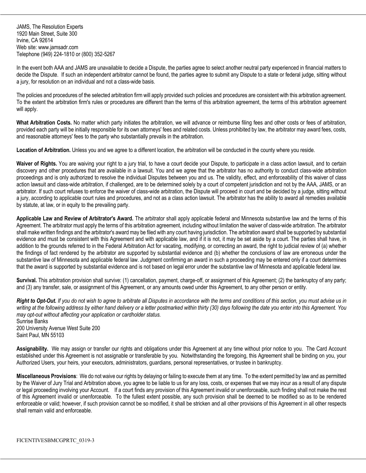JAMS, The Resolution Experts 1920 Main Street, Suite 300 Irvine, CA 92614 Web site: www.jamsadr.com Telephone (949) 224-1810 or (800) 352-5267

In the event both AAA and JAMS are unavailable to decide a Dispute, the parties agree to select another neutral party experienced in financial matters to decide the Dispute. If such an independent arbitrator cannot be found, the parties agree to submit any Dispute to a state or federal judge, sitting without a jury, for resolution on an individual and not a class-wide basis.

The policies and procedures of the selected arbitration firm will apply provided such policies and procedures are consistent with this arbitration agreement. To the extent the arbitration firm's rules or procedures are different than the terms of this arbitration agreement, the terms of this arbitration agreement will apply.

**What Arbitration Costs.** No matter which party initiates the arbitration, we will advance or reimburse filing fees and other costs or fees of arbitration, provided each party will be initially responsible for its own attorneys' fees and related costs. Unless prohibited by law, the arbitrator may award fees, costs, and reasonable attorneys' fees to the party who substantially prevails in the arbitration.

**Location of Arbitration.** Unless you and we agree to a different location, the arbitration will be conducted in the county where you reside.

Waiver of Rights. You are waiving your right to a jury trial, to have a court decide your Dispute, to participate in a class action lawsuit, and to certain discovery and other procedures that are available in a lawsuit. You and we agree that the arbitrator has no authority to conduct class-wide arbitration proceedings and is only authorized to resolve the individual Disputes between you and us. The validity, effect, and enforceability of this waiver of class action lawsuit and class-wide arbitration, if challenged, are to be determined solely by a court of competent jurisdiction and not by the AAA, JAMS, or an arbitrator. If such court refuses to enforce the waiver of class-wide arbitration, the Dispute will proceed in court and be decided by a judge, sitting without a jury, according to applicable court rules and procedures, and not as a class action lawsuit. The arbitrator has the ability to award all remedies available by statute, at law, or in equity to the prevailing party.

**Applicable Law and Review of Arbitrator's Award.** The arbitrator shall apply applicable federal and Minnesota substantive law and the terms of this Agreement. The arbitrator must apply the terms of this arbitration agreement, including without limitation the waiver of class-wide arbitration. The arbitrator shall make written findings and the arbitrator's award may be filed with any court having jurisdiction. The arbitration award shall be supported by substantial evidence and must be consistent with this Agreement and with applicable law, and if it is not, it may be set aside by a court. The parties shall have, in addition to the grounds referred to in the Federal Arbitration Act for vacating, modifying, or correcting an award, the right to judicial review of (a) whether the findings of fact rendered by the arbitrator are supported by substantial evidence and (b) whether the conclusions of law are erroneous under the substantive law of Minnesota and applicable federal law. Judgment confirming an award in such a proceeding may be entered only if a court determines that the award is supported by substantial evidence and is not based on legal error under the substantive law of Minnesota and applicable federal law.

**Survival.** This arbitration provision shall survive: (1) cancellation, payment, charge-off, or assignment of this Agreement; (2) the bankruptcy of any party; and (3) any transfer, sale, or assignment of this Agreement, or any amounts owed under this Agreement, to any other person or entity.

*Right to Opt-Out. If you do not wish to agree to arbitrate all Disputes in accordance with the terms and conditions of this section, you must advise us in writing at the following address by either hand delivery or a letter postmarked within thirty (30) days following the date you enter into this Agreement. You may opt-out without affecting your application or cardholder status.* Sunrise Banks

200 University Avenue West Suite 200 Saint Paul, MN 55103

**Assignability.** We may assign or transfer our rights and obligations under this Agreement at any time without prior notice to you. The Card Account established under this Agreement is not assignable or transferable by you. Notwithstanding the foregoing, this Agreement shall be binding on you, your Authorized Users, your heirs, your executors, administrators, guardians, personal representatives, or trustee in bankruptcy.

**Miscellaneous Provisions**: We do not waive our rights by delaying or failing to execute them at any time. To the extent permitted by law and as permitted by the Waiver of Jury Trial and Arbitration above, you agree to be liable to us for any loss, costs, or expenses that we may incur as a result of any dispute or legal proceeding involving your Account.If a court finds any provision of this Agreement invalid or unenforceable, such finding shall not make the rest of this Agreement invalid or unenforceable. To the fullest extent possible, any such provision shall be deemed to be modified so as to be rendered enforceable or valid; however, if such provision cannot be so modified, it shall be stricken and all other provisions of this Agreement in all other respects shall remain valid and enforceable.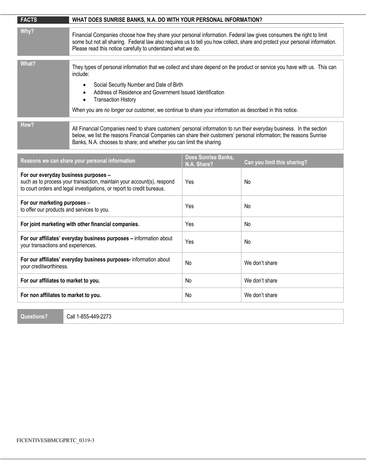| <b>FACTS</b>                                                                                                                                                                             | WHAT DOES SUNRISE BANKS, N.A. DO WITH YOUR PERSONAL INFORMATION?                                                                                                                                                                                                                                                                                                                                                              |     |                |
|------------------------------------------------------------------------------------------------------------------------------------------------------------------------------------------|-------------------------------------------------------------------------------------------------------------------------------------------------------------------------------------------------------------------------------------------------------------------------------------------------------------------------------------------------------------------------------------------------------------------------------|-----|----------------|
| Why?                                                                                                                                                                                     | Financial Companies choose how they share your personal information. Federal law gives consumers the right to limit<br>some but not all sharing. Federal law also requires us to tell you how collect, share and protect your personal information.<br>Please read this notice carefully to understand what we do.                                                                                                            |     |                |
| What?                                                                                                                                                                                    | They types of personal information that we collect and share depend on the product or service you have with us. This can<br>include:<br>Social Security Number and Date of Birth<br>$\bullet$<br>Address of Residence and Government Issued Identification<br>$\bullet$<br><b>Transaction History</b><br>$\bullet$<br>When you are no longer our customer, we continue to share your information as described in this notice. |     |                |
| How?                                                                                                                                                                                     | All Financial Companies need to share customers' personal information to run their everyday business. In the section<br>below, we list the reasons Financial Companies can share their customers' personal information; the reasons Sunrise<br>Banks, N.A. chooses to share; and whether you can limit the sharing.                                                                                                           |     |                |
| Does Sunrise Banks,<br>Reasons we can share your personal information<br>Can you limit this sharing?<br>N.A. Share?                                                                      |                                                                                                                                                                                                                                                                                                                                                                                                                               |     |                |
| For our everyday business purposes -<br>such as to process your transaction, maintain your account(s), respond<br>to court orders and legal investigations, or report to credit bureaus. |                                                                                                                                                                                                                                                                                                                                                                                                                               | Yes | No.            |
| For our marketing purposes -<br>to offer our products and services to you.                                                                                                               |                                                                                                                                                                                                                                                                                                                                                                                                                               | Yes | No             |
| For joint marketing with other financial companies.                                                                                                                                      |                                                                                                                                                                                                                                                                                                                                                                                                                               | Yes | No.            |
| For our affiliates' everyday business purposes - information about<br>your transactions and experiences.                                                                                 |                                                                                                                                                                                                                                                                                                                                                                                                                               | Yes | No             |
| For our affiliates' everyday business purposes- information about<br>your creditworthiness.                                                                                              |                                                                                                                                                                                                                                                                                                                                                                                                                               | No  | We don't share |
| For our affiliates to market to you.                                                                                                                                                     |                                                                                                                                                                                                                                                                                                                                                                                                                               | No  | We don't share |
| For non affiliates to market to you.                                                                                                                                                     |                                                                                                                                                                                                                                                                                                                                                                                                                               | No. | We don't share |

**Questions?** Call 1-855-449-2273